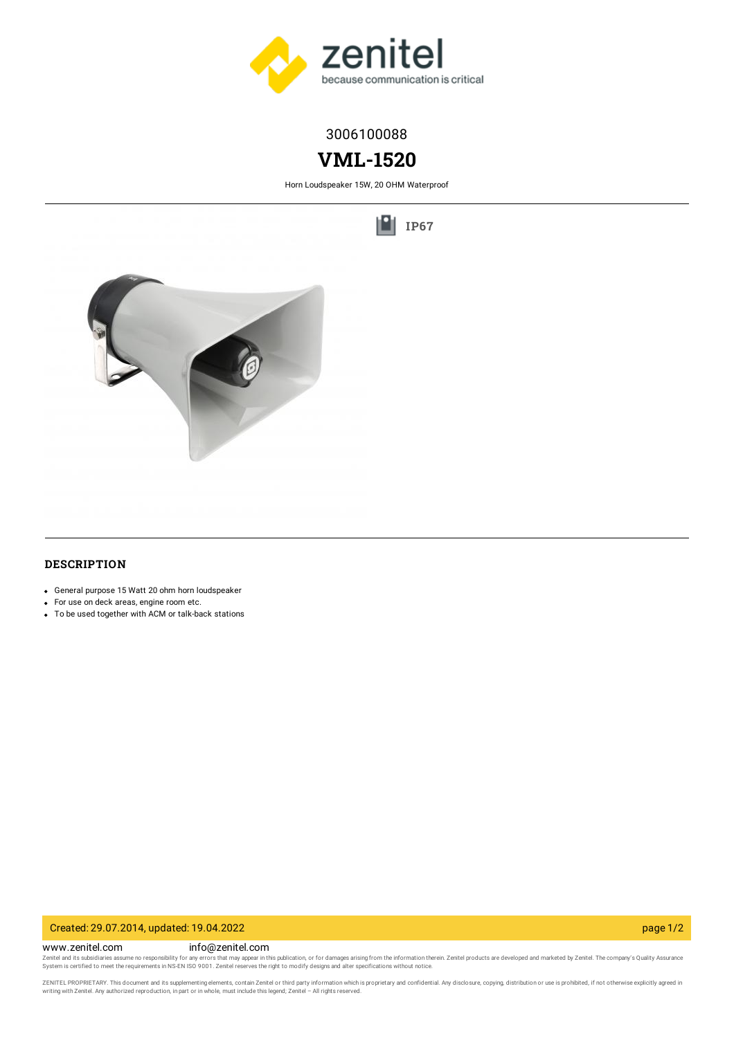

## 3006100088

# **VML-1520**

Horn Loudspeaker 15W, 20 OHM Waterproof

١H **[IP67](https://www.zenitel.com/technology/environment/ip67)**



### **DESCRIPTION**

- General purpose 15 Watt 20 ohm horn loudspeaker
- For use on deck areas, engine room etc.
- To be used together with ACM or talk-back stations

#### Created: 29.07.2014, updated: 19.04.2022 page 1/2

www.zenitel.com info@zenitel.com Zenitel and its subsidiaries assume no responsibility for any errors that may appear in this publication, or for damages arising from the information therein. Zenitel products are developed and marketed by Zenitel. The com

ZENITEL PROPRIETARY. This document and its supplementing elements, contain Zenitel or third party information which is proprietary and confidential. Any disclosure, copying, distribution or use is prohibited, if not otherw